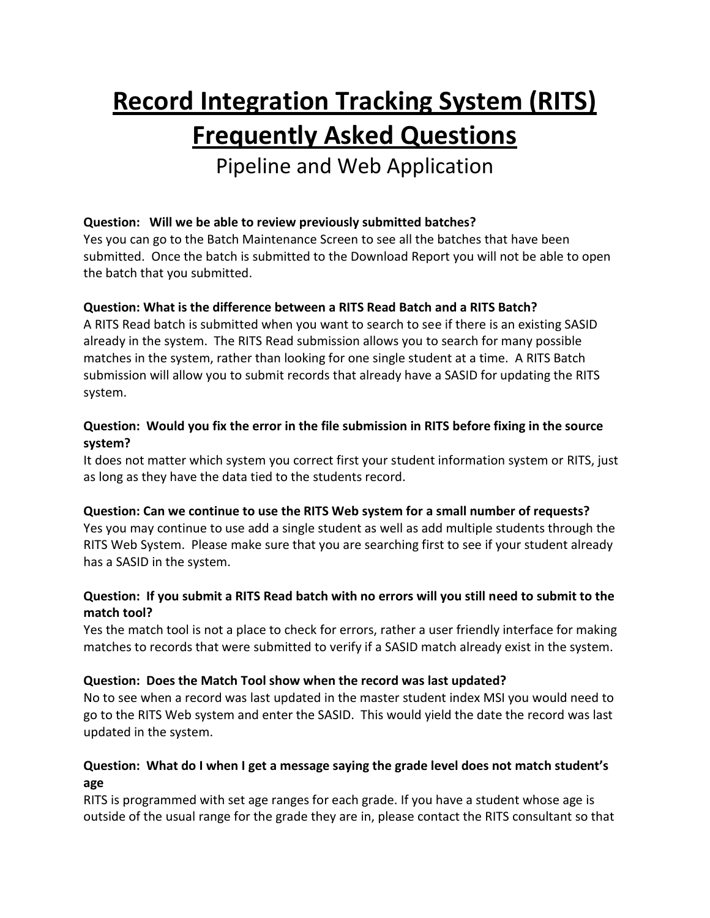# **Record Integration Tracking System (RITS) Frequently Asked Questions**

Pipeline and Web Application

# **Question: Will we be able to review previously submitted batches?**

Yes you can go to the Batch Maintenance Screen to see all the batches that have been submitted. Once the batch is submitted to the Download Report you will not be able to open the batch that you submitted.

## **Question: What is the difference between a RITS Read Batch and a RITS Batch?**

A RITS Read batch is submitted when you want to search to see if there is an existing SASID already in the system. The RITS Read submission allows you to search for many possible matches in the system, rather than looking for one single student at a time. A RITS Batch submission will allow you to submit records that already have a SASID for updating the RITS system.

## **Question: Would you fix the error in the file submission in RITS before fixing in the source system?**

It does not matter which system you correct first your student information system or RITS, just as long as they have the data tied to the students record.

## **Question: Can we continue to use the RITS Web system for a small number of requests?**

Yes you may continue to use add a single student as well as add multiple students through the RITS Web System. Please make sure that you are searching first to see if your student already has a SASID in the system.

## **Question: If you submit a RITS Read batch with no errors will you still need to submit to the match tool?**

Yes the match tool is not a place to check for errors, rather a user friendly interface for making matches to records that were submitted to verify if a SASID match already exist in the system.

## **Question: Does the Match Tool show when the record was last updated?**

No to see when a record was last updated in the master student index MSI you would need to go to the RITS Web system and enter the SASID. This would yield the date the record was last updated in the system.

# **Question: What do I when I get a message saying the grade level does not match student's age**

RITS is programmed with set age ranges for each grade. If you have a student whose age is outside of the usual range for the grade they are in, please contact the RITS consultant so that